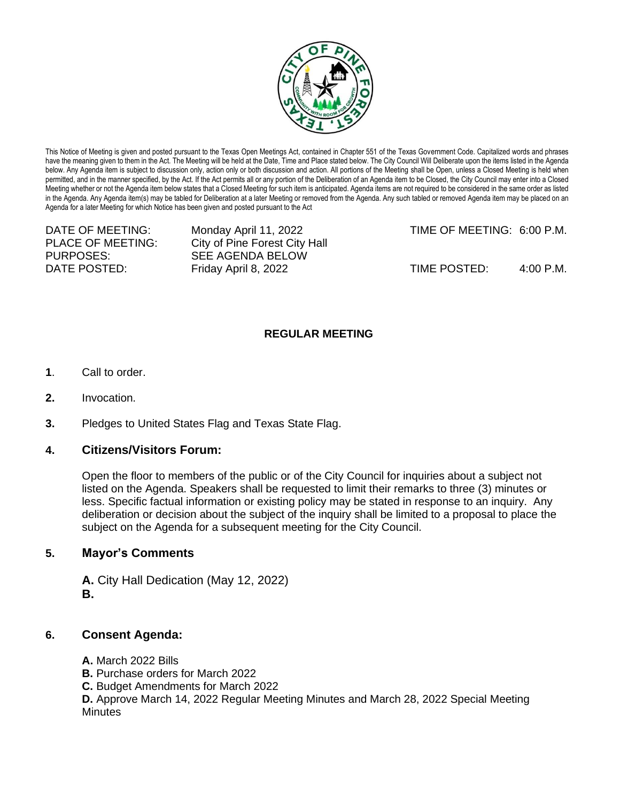

This Notice of Meeting is given and posted pursuant to the Texas Open Meetings Act, contained in Chapter 551 of the Texas Government Code. Capitalized words and phrases have the meaning given to them in the Act. The Meeting will be held at the Date, Time and Place stated below. The City Council Will Deliberate upon the items listed in the Agenda below. Any Agenda item is subject to discussion only, action only or both discussion and action. All portions of the Meeting shall be Open, unless a Closed Meeting is held when permitted, and in the manner specified, by the Act. If the Act permits all or any portion of the Deliberation of an Agenda item to be Closed, the City Council may enter into a Closed Meeting whether or not the Agenda item below states that a Closed Meeting for such item is anticipated. Agenda items are not required to be considered in the same order as listed in the Agenda. Any Agenda item(s) may be tabled for Deliberation at a later Meeting or removed from the Agenda. Any such tabled or removed Agenda item may be placed on an Agenda for a later Meeting for which Notice has been given and posted pursuant to the Act

PLACE OF MEETING: City of Pine Forest City Hall PURPOSES: SEE AGENDA BELOW

DATE OF MEETING: Monday April 11, 2022 TIME OF MEETING: 6:00 P.M.

DATE POSTED: Friday April 8, 2022 TIME POSTED: 4:00 P.M.

## **REGULAR MEETING**

- **1**. Call to order.
- **2.** Invocation.
- **3.** Pledges to United States Flag and Texas State Flag.

## **4. Citizens/Visitors Forum:**

Open the floor to members of the public or of the City Council for inquiries about a subject not listed on the Agenda. Speakers shall be requested to limit their remarks to three (3) minutes or less. Specific factual information or existing policy may be stated in response to an inquiry. Any deliberation or decision about the subject of the inquiry shall be limited to a proposal to place the subject on the Agenda for a subsequent meeting for the City Council.

## **5. Mayor's Comments**

**A.** City Hall Dedication (May 12, 2022) **B.**

## **6. Consent Agenda:**

- **A.** March 2022 Bills
- **B.** Purchase orders for March 2022
- **C.** Budget Amendments for March 2022

**D.** Approve March 14, 2022 Regular Meeting Minutes and March 28, 2022 Special Meeting **Minutes**